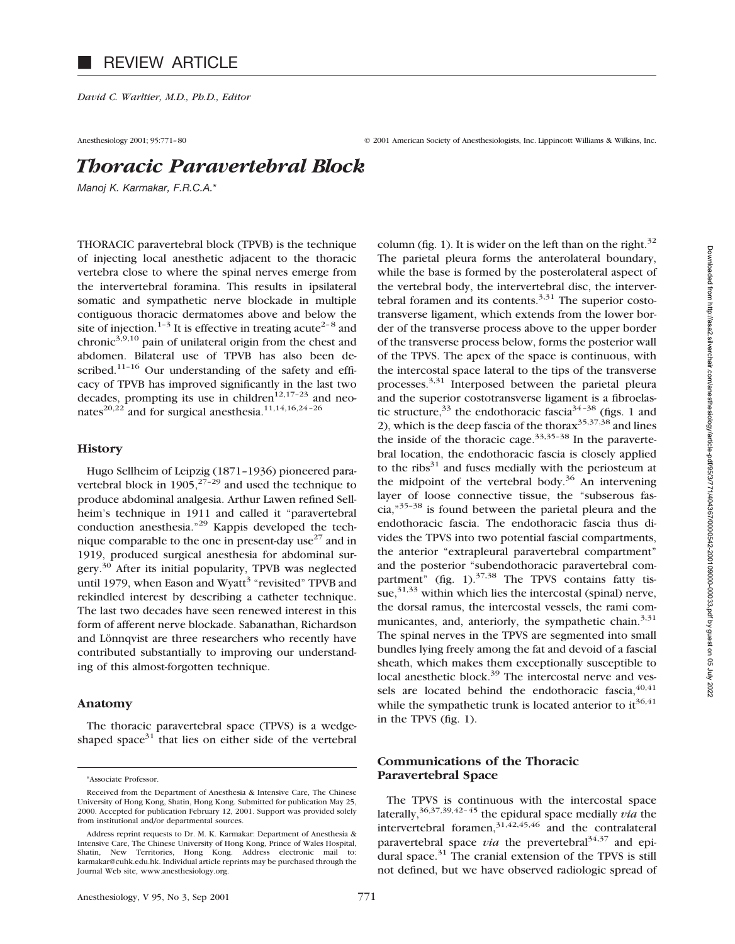# REVIEW ARTICLE

*David C. Warltier, M.D., Ph.D., Editor*

Anesthesiology 2001; 95:771-80 © 2001 American Society of Anesthesiologists, Inc. Lippincott Williams & Wilkins, Inc.

# *Thoracic Paravertebral Block*

*Manoj K. Karmakar, F.R.C.A.*\*

THORACIC paravertebral block (TPVB) is the technique of injecting local anesthetic adjacent to the thoracic vertebra close to where the spinal nerves emerge from the intervertebral foramina. This results in ipsilateral somatic and sympathetic nerve blockade in multiple contiguous thoracic dermatomes above and below the site of injection.<sup>1–3</sup> It is effective in treating acute<sup>2–8</sup> and chronic<sup> $3,9,10$ </sup> pain of unilateral origin from the chest and abdomen. Bilateral use of TPVB has also been described.<sup>11-16</sup> Our understanding of the safety and efficacy of TPVB has improved significantly in the last two decades, prompting its use in children<sup>12,17-23</sup> and neonates<sup>20,22</sup> and for surgical anesthesia.<sup>11,14,16,24-26</sup>

#### **History**

Hugo Sellheim of Leipzig (1871–1936) pioneered paravertebral block in  $1905$ ,  $27-29$  and used the technique to produce abdominal analgesia. Arthur Lawen refined Sellheim's technique in 1911 and called it "paravertebral conduction anesthesia."29 Kappis developed the technique comparable to the one in present-day use<sup>27</sup> and in 1919, produced surgical anesthesia for abdominal surgery.30 After its initial popularity, TPVB was neglected until 1979, when Eason and Wyatt<sup>3</sup> "revisited" TPVB and rekindled interest by describing a catheter technique. The last two decades have seen renewed interest in this form of afferent nerve blockade. Sabanathan, Richardson and Lönnqvist are three researchers who recently have contributed substantially to improving our understanding of this almost-forgotten technique.

#### **Anatomy**

The thoracic paravertebral space (TPVS) is a wedgeshaped space<sup>31</sup> that lies on either side of the vertebral

\*Associate Professor.

column (fig. 1). It is wider on the left than on the right. $32$ The parietal pleura forms the anterolateral boundary, while the base is formed by the posterolateral aspect of the vertebral body, the intervertebral disc, the intervertebral foramen and its contents. $3,31$  The superior costotransverse ligament, which extends from the lower border of the transverse process above to the upper border of the transverse process below, forms the posterior wall of the TPVS. The apex of the space is continuous, with the intercostal space lateral to the tips of the transverse processes.3,31 Interposed between the parietal pleura and the superior costotransverse ligament is a fibroelastic structure,  $33$  the endothoracic fascia  $34-38$  (figs. 1 and 2), which is the deep fascia of the thorax $35,37,38$  and lines the inside of the thoracic cage.<sup>33,35-38</sup> In the paravertebral location, the endothoracic fascia is closely applied to the ribs $31$  and fuses medially with the periosteum at the midpoint of the vertebral body.<sup>36</sup> An intervening layer of loose connective tissue, the "subserous fascia, $^{35-38}$  is found between the parietal pleura and the endothoracic fascia. The endothoracic fascia thus divides the TPVS into two potential fascial compartments, the anterior "extrapleural paravertebral compartment" and the posterior "subendothoracic paravertebral compartment" (fig.  $1$ ).<sup>37,38</sup> The TPVS contains fatty tissue,  $31,33$  within which lies the intercostal (spinal) nerve, the dorsal ramus, the intercostal vessels, the rami communicantes, and, anteriorly, the sympathetic chain. $3,31$ The spinal nerves in the TPVS are segmented into small bundles lying freely among the fat and devoid of a fascial sheath, which makes them exceptionally susceptible to local anesthetic block.<sup>39</sup> The intercostal nerve and vessels are located behind the endothoracic fascia,  $40,41$ while the sympathetic trunk is located anterior to it  $36,41$ in the TPVS (fig. 1).

# **Communications of the Thoracic Paravertebral Space**

The TPVS is continuous with the intercostal space laterally,36,37,39,42–45 the epidural space medially *via* the intervertebral foramen,  $31,42,45,46$  and the contralateral paravertebral space *via* the prevertebral<sup>34,37</sup> and epidural space. $31$  The cranial extension of the TPVS is still not defined, but we have observed radiologic spread of

Received from the Department of Anesthesia & Intensive Care, The Chinese University of Hong Kong, Shatin, Hong Kong. Submitted for publication May 25, 2000. Accepted for publication February 12, 2001. Support was provided solely from institutional and/or departmental sources.

Address reprint requests to Dr. M. K. Karmakar: Department of Anesthesia & Intensive Care, The Chinese University of Hong Kong, Prince of Wales Hospital, Shatin, New Territories, Hong Kong. Address electronic mail to: karmakar@cuhk.edu.hk. Individual article reprints may be purchased through the Journal Web site, www.anesthesiology.org.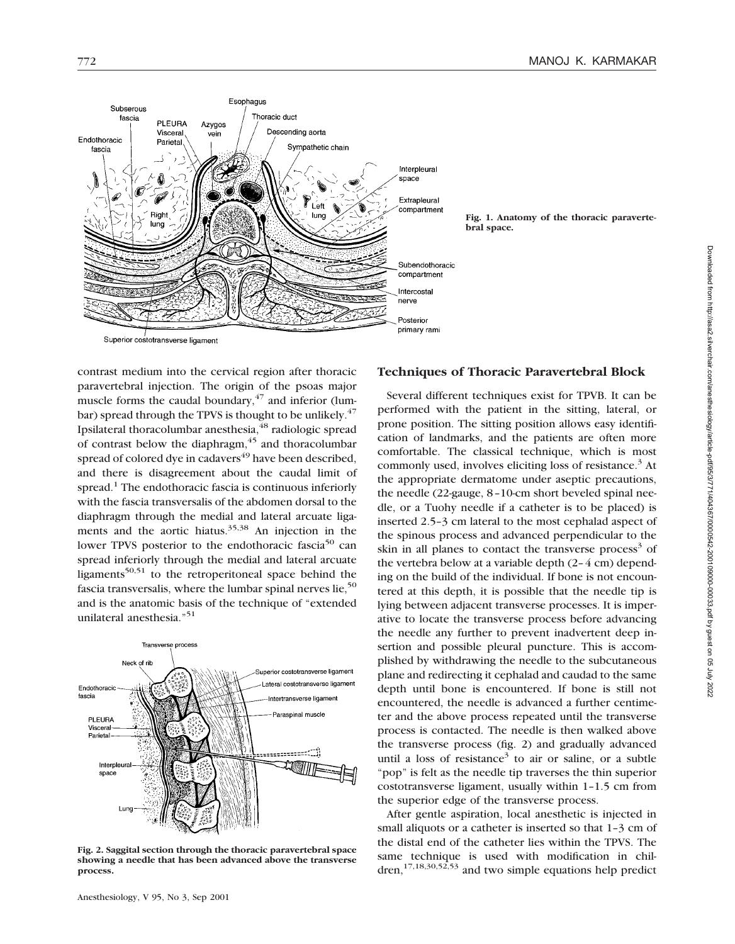

contrast medium into the cervical region after thoracic paravertebral injection. The origin of the psoas major muscle forms the caudal boundary, $47$  and inferior (lumbar) spread through the TPVS is thought to be unlikely. $47$ Ipsilateral thoracolumbar anesthesia,<sup>48</sup> radiologic spread of contrast below the diaphragm, $45$  and thoracolumbar spread of colored dye in cadavers<sup>49</sup> have been described, and there is disagreement about the caudal limit of spread.<sup>1</sup> The endothoracic fascia is continuous inferiorly with the fascia transversalis of the abdomen dorsal to the diaphragm through the medial and lateral arcuate ligaments and the aortic hiatus.<sup>35,38</sup> An injection in the lower TPVS posterior to the endothoracic fascia<sup>50</sup> can spread inferiorly through the medial and lateral arcuate ligaments<sup>50,51</sup> to the retroperitoneal space behind the fascia transversalis, where the lumbar spinal nerves lie,<sup>50</sup> and is the anatomic basis of the technique of "extended unilateral anesthesia."51



**Fig. 2. Saggital section through the thoracic paravertebral space showing a needle that has been advanced above the transverse process.**

# **Techniques of Thoracic Paravertebral Block**

Several different techniques exist for TPVB. It can be performed with the patient in the sitting, lateral, or prone position. The sitting position allows easy identification of landmarks, and the patients are often more comfortable. The classical technique, which is most commonly used, involves eliciting loss of resistance.<sup>3</sup> At the appropriate dermatome under aseptic precautions, the needle (22-gauge, 8–10-cm short beveled spinal needle, or a Tuohy needle if a catheter is to be placed) is inserted 2.5–3 cm lateral to the most cephalad aspect of the spinous process and advanced perpendicular to the skin in all planes to contact the transverse process<sup>3</sup> of the vertebra below at a variable depth (2–4 cm) depending on the build of the individual. If bone is not encountered at this depth, it is possible that the needle tip is lying between adjacent transverse processes. It is imperative to locate the transverse process before advancing the needle any further to prevent inadvertent deep insertion and possible pleural puncture. This is accomplished by withdrawing the needle to the subcutaneous plane and redirecting it cephalad and caudad to the same depth until bone is encountered. If bone is still not encountered, the needle is advanced a further centimeter and the above process repeated until the transverse process is contacted. The needle is then walked above the transverse process (fig. 2) and gradually advanced until a loss of resistance<sup>3</sup> to air or saline, or a subtle "pop" is felt as the needle tip traverses the thin superior costotransverse ligament, usually within 1–1.5 cm from the superior edge of the transverse process.

After gentle aspiration, local anesthetic is injected in small aliquots or a catheter is inserted so that 1–3 cm of the distal end of the catheter lies within the TPVS. The same technique is used with modification in children,17,18,30,52,53 and two simple equations help predict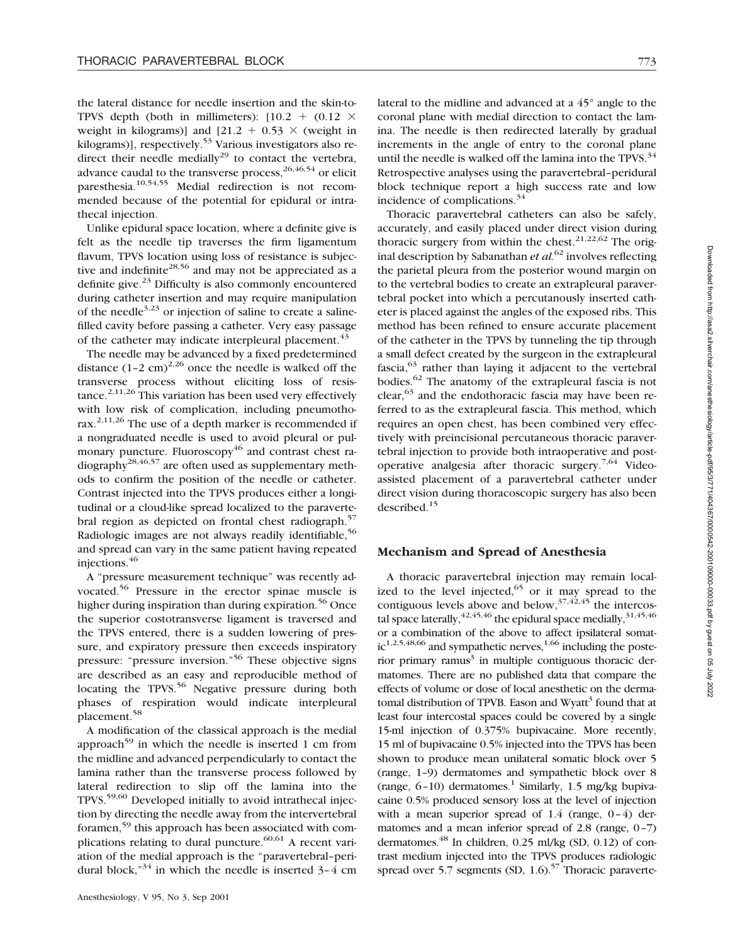the lateral distance for needle insertion and the skin-to-TPVS depth (both in millimeters):  $[10.2 + (0.12 \times$ weight in kilograms)] and  $[21.2 + 0.53 \times$  (weight in kilograms)], respectively.<sup>53</sup> Various investigators also redirect their needle medially<sup>29</sup> to contact the vertebra, advance caudal to the transverse process,  $26,46,54$  or elicit paresthesia.10,54,55 Medial redirection is not recommended because of the potential for epidural or intrathecal injection.

Unlike epidural space location, where a definite give is felt as the needle tip traverses the firm ligamentum flavum, TPVS location using loss of resistance is subjective and indefinite<sup>28,56</sup> and may not be appreciated as a definite give. $23$  Difficulty is also commonly encountered during catheter insertion and may require manipulation of the needle<sup>3,23</sup> or injection of saline to create a salinefilled cavity before passing a catheter. Very easy passage of the catheter may indicate interpleural placement.<sup>43</sup>

The needle may be advanced by a fixed predetermined distance  $(1-2 \text{ cm})^{2,26}$  once the needle is walked off the transverse process without eliciting loss of resistance.<sup>2,11,26</sup> This variation has been used very effectively with low risk of complication, including pneumothorax.<sup>2,11,26</sup> The use of a depth marker is recommended if a nongraduated needle is used to avoid pleural or pulmonary puncture. Fluoroscopy $46$  and contrast chest ra $diography<sup>28,46,57</sup>$  are often used as supplementary methods to confirm the position of the needle or catheter. Contrast injected into the TPVS produces either a longitudinal or a cloud-like spread localized to the paravertebral region as depicted on frontal chest radiograph.<sup>57</sup> Radiologic images are not always readily identifiable,<sup>56</sup> and spread can vary in the same patient having repeated injections.<sup>46</sup>

A "pressure measurement technique" was recently advocated.56 Pressure in the erector spinae muscle is higher during inspiration than during expiration.<sup>56</sup> Once the superior costotransverse ligament is traversed and the TPVS entered, there is a sudden lowering of pressure, and expiratory pressure then exceeds inspiratory pressure: "pressure inversion."56 These objective signs are described as an easy and reproducible method of locating the TPVS. $56$  Negative pressure during both phases of respiration would indicate interpleural placement.58

A modification of the classical approach is the medial approach<sup>59</sup> in which the needle is inserted 1 cm from the midline and advanced perpendicularly to contact the lamina rather than the transverse process followed by lateral redirection to slip off the lamina into the TPVS.59,60 Developed initially to avoid intrathecal injection by directing the needle away from the intervertebral foramen,59 this approach has been associated with complications relating to dural puncture.  $60,61$  A recent variation of the medial approach is the "paravertebral–peridural block," $34$  in which the needle is inserted  $3-4$  cm

lateral to the midline and advanced at a 45° angle to the coronal plane with medial direction to contact the lamina. The needle is then redirected laterally by gradual increments in the angle of entry to the coronal plane until the needle is walked off the lamina into the TPVS. $34$ Retrospective analyses using the paravertebral–peridural block technique report a high success rate and low incidence of complications.<sup>34</sup>

Thoracic paravertebral catheters can also be safely, accurately, and easily placed under direct vision during thoracic surgery from within the chest.<sup>21,22,62</sup> The original description by Sabanathan *et al.*<sup>62</sup> involves reflecting the parietal pleura from the posterior wound margin on to the vertebral bodies to create an extrapleural paravertebral pocket into which a percutanously inserted catheter is placed against the angles of the exposed ribs. This method has been refined to ensure accurate placement of the catheter in the TPVS by tunneling the tip through a small defect created by the surgeon in the extrapleural fascia,  $63$  rather than laying it adjacent to the vertebral bodies.62 The anatomy of the extrapleural fascia is not clear,  $63$  and the endothoracic fascia may have been referred to as the extrapleural fascia. This method, which requires an open chest, has been combined very effectively with preincisional percutaneous thoracic paravertebral injection to provide both intraoperative and postoperative analgesia after thoracic surgery.<sup>7,64</sup> Videoassisted placement of a paravertebral catheter under direct vision during thoracoscopic surgery has also been described.15

#### **Mechanism and Spread of Anesthesia**

A thoracic paravertebral injection may remain localized to the level injected,  $65$  or it may spread to the contiguous levels above and below,  $37,42,45$  the intercostal space laterally,  $42,45,46$  the epidural space medially,  $31,45,46$ or a combination of the above to affect ipsilateral somat $ic^{1,2,5,48,66}$  and sympathetic nerves,<sup>1,66</sup> including the posterior primary ramus $3$  in multiple contiguous thoracic dermatomes. There are no published data that compare the effects of volume or dose of local anesthetic on the dermatomal distribution of TPVB. Eason and Wyatt<sup>3</sup> found that at least four intercostal spaces could be covered by a single 15-ml injection of 0.375% bupivacaine. More recently, 15 ml of bupivacaine 0.5% injected into the TPVS has been shown to produce mean unilateral somatic block over 5 (range, 1–9) dermatomes and sympathetic block over 8 (range,  $6-10$ ) dermatomes.<sup>1</sup> Similarly, 1.5 mg/kg bupivacaine 0.5% produced sensory loss at the level of injection with a mean superior spread of  $1.4$  (range,  $0-4$ ) dermatomes and a mean inferior spread of 2.8 (range,  $0-7$ ) dermatomes. $^{48}$  In children, 0.25 ml/kg (SD, 0.12) of contrast medium injected into the TPVS produces radiologic spread over 5.7 segments (SD,  $1.6$ ).<sup>57</sup> Thoracic paraverte-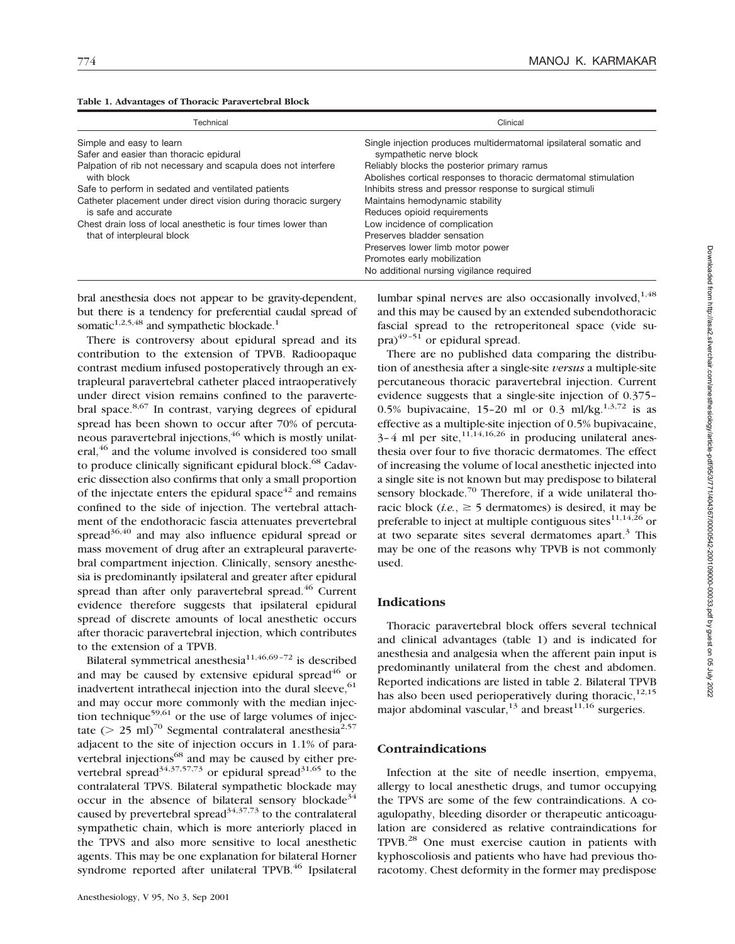|  |  | Table 1. Advantages of Thoracic Paravertebral Block |
|--|--|-----------------------------------------------------|
|--|--|-----------------------------------------------------|

| Technical                                                                                   | Clinical                                                                                                                                                                    |
|---------------------------------------------------------------------------------------------|-----------------------------------------------------------------------------------------------------------------------------------------------------------------------------|
| Simple and easy to learn                                                                    | Single injection produces multidermatomal ipsilateral somatic and                                                                                                           |
| Safer and easier than thoracic epidural                                                     | sympathetic nerve block                                                                                                                                                     |
| Palpation of rib not necessary and scapula does not interfere                               | Reliably blocks the posterior primary ramus                                                                                                                                 |
| with block                                                                                  | Abolishes cortical responses to thoracic dermatomal stimulation                                                                                                             |
| Safe to perform in sedated and ventilated patients                                          | Inhibits stress and pressor response to surgical stimuli                                                                                                                    |
| Catheter placement under direct vision during thoracic surgery                              | Maintains hemodynamic stability                                                                                                                                             |
| is safe and accurate                                                                        | Reduces opioid requirements                                                                                                                                                 |
| Chest drain loss of local anesthetic is four times lower than<br>that of interpleural block | Low incidence of complication<br>Preserves bladder sensation<br>Preserves lower limb motor power<br>Promotes early mobilization<br>No additional nursing vigilance required |

bral anesthesia does not appear to be gravity-dependent, but there is a tendency for preferential caudal spread of somatic $1,2,5,48$  and sympathetic blockade.<sup>1</sup>

There is controversy about epidural spread and its contribution to the extension of TPVB. Radioopaque contrast medium infused postoperatively through an extrapleural paravertebral catheter placed intraoperatively under direct vision remains confined to the paravertebral space. $8,67$  In contrast, varying degrees of epidural spread has been shown to occur after 70% of percutaneous paravertebral injections.<sup>46</sup> which is mostly unilateral,<sup>46</sup> and the volume involved is considered too small to produce clinically significant epidural block.<sup>68</sup> Cadaveric dissection also confirms that only a small proportion of the injectate enters the epidural space $42$  and remains confined to the side of injection. The vertebral attachment of the endothoracic fascia attenuates prevertebral spread $36,40$  and may also influence epidural spread or mass movement of drug after an extrapleural paravertebral compartment injection. Clinically, sensory anesthesia is predominantly ipsilateral and greater after epidural spread than after only paravertebral spread.<sup>46</sup> Current evidence therefore suggests that ipsilateral epidural spread of discrete amounts of local anesthetic occurs after thoracic paravertebral injection, which contributes to the extension of a TPVB.

Bilateral symmetrical anesthesia<sup>11,46,69-72</sup> is described and may be caused by extensive epidural spread $46$  or inadvertent intrathecal injection into the dural sleeve,  $61$ and may occur more commonly with the median injection technique<sup>59,61</sup> or the use of large volumes of injectate ( $> 25$  ml)<sup>70</sup> Segmental contralateral anesthesia<sup>2,57</sup> adjacent to the site of injection occurs in 1.1% of paravertebral injections<sup>68</sup> and may be caused by either prevertebral spread<sup>34,37,57,73</sup> or epidural spread<sup>31,65</sup> to the contralateral TPVS. Bilateral sympathetic blockade may occur in the absence of bilateral sensory blockade<sup>34</sup> caused by prevertebral spread $34,37,73$  to the contralateral sympathetic chain, which is more anteriorly placed in the TPVS and also more sensitive to local anesthetic agents. This may be one explanation for bilateral Horner syndrome reported after unilateral TPVB.<sup>46</sup> Ipsilateral lumbar spinal nerves are also occasionally involved, $1,48$ and this may be caused by an extended subendothoracic fascial spread to the retroperitoneal space (vide su $pra)^{49-51}$  or epidural spread.

There are no published data comparing the distribution of anesthesia after a single-site *versus* a multiple-site percutaneous thoracic paravertebral injection. Current evidence suggests that a single-site injection of 0.375– 0.5% bupivacaine, 15-20 ml or 0.3 ml/kg.<sup>1,3,72</sup> is as effective as a multiple-site injection of 0.5% bupivacaine,  $3-4$  ml per site,  $11,14,16,26$  in producing unilateral anesthesia over four to five thoracic dermatomes. The effect of increasing the volume of local anesthetic injected into a single site is not known but may predispose to bilateral sensory blockade. $70$  Therefore, if a wide unilateral thoracic block (*i.e.*,  $\geq$  5 dermatomes) is desired, it may be preferable to inject at multiple contiguous sites $11,14,26$  or at two separate sites several dermatomes apart. $3$  This may be one of the reasons why TPVB is not commonly used.

# **Indications**

Thoracic paravertebral block offers several technical and clinical advantages (table 1) and is indicated for anesthesia and analgesia when the afferent pain input is predominantly unilateral from the chest and abdomen. Reported indications are listed in table 2. Bilateral TPVB has also been used perioperatively during thoracic, $12,15$ major abdominal vascular,  $^{13}$  and breast  $^{11,16}$  surgeries.

# **Contraindications**

Infection at the site of needle insertion, empyema, allergy to local anesthetic drugs, and tumor occupying the TPVS are some of the few contraindications. A coagulopathy, bleeding disorder or therapeutic anticoagulation are considered as relative contraindications for TPVB.28 One must exercise caution in patients with kyphoscoliosis and patients who have had previous thoracotomy. Chest deformity in the former may predispose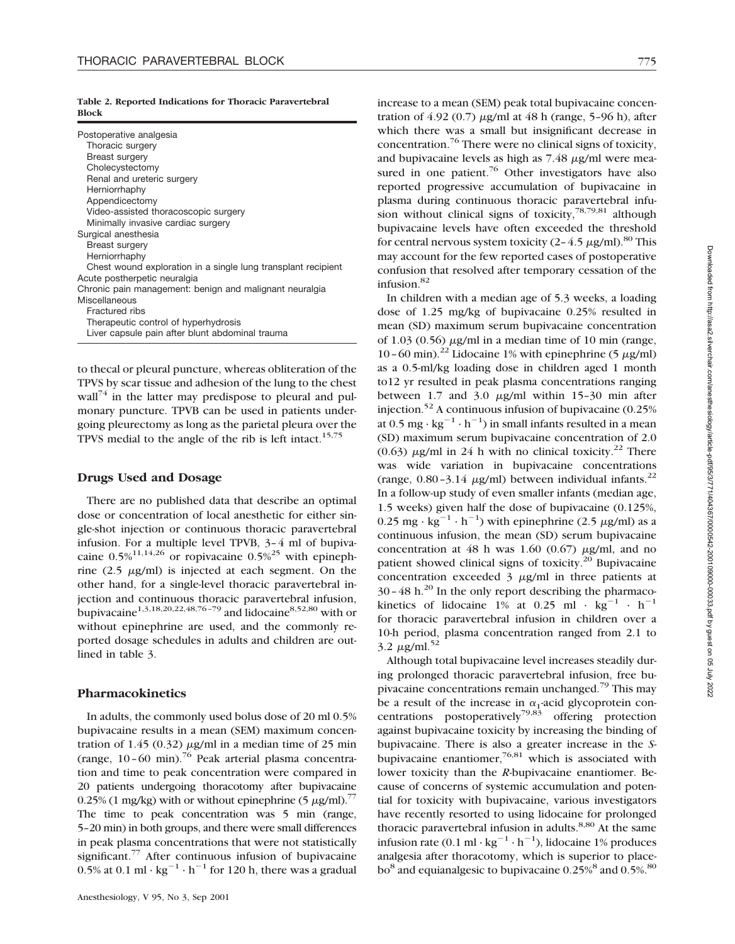|              |  |  | Table 2. Reported Indications for Thoracic Paravertebral |
|--------------|--|--|----------------------------------------------------------|
| <b>Block</b> |  |  |                                                          |

| Postoperative analgesia                                       |
|---------------------------------------------------------------|
| Thoracic surgery                                              |
| Breast surgery                                                |
| Cholecystectomy                                               |
| Renal and ureteric surgery                                    |
| Herniorrhaphy                                                 |
| Appendicectomy                                                |
| Video-assisted thoracoscopic surgery                          |
| Minimally invasive cardiac surgery                            |
| Surgical anesthesia                                           |
| <b>Breast surgery</b>                                         |
| Herniorrhaphy                                                 |
| Chest wound exploration in a single lung transplant recipient |
| Acute postherpetic neuralgia                                  |
| Chronic pain management: benign and malignant neuralgia       |
| Miscellaneous                                                 |
| Fractured ribs                                                |
| Therapeutic control of hyperhydrosis                          |
| Liver capsule pain after blunt abdominal trauma               |

to thecal or pleural puncture, whereas obliteration of the TPVS by scar tissue and adhesion of the lung to the chest wall<sup>74</sup> in the latter may predispose to pleural and pulmonary puncture. TPVB can be used in patients undergoing pleurectomy as long as the parietal pleura over the TPVS medial to the angle of the rib is left intact.<sup>15,75</sup>

# **Drugs Used and Dosage**

There are no published data that describe an optimal dose or concentration of local anesthetic for either single-shot injection or continuous thoracic paravertebral infusion. For a multiple level TPVB, 3–4 ml of bupivacaine  $0.5\%$ <sup>11,14,26</sup> or ropivacaine  $0.5\%$ <sup>25</sup> with epinephrine (2.5  $\mu$ g/ml) is injected at each segment. On the other hand, for a single-level thoracic paravertebral injection and continuous thoracic paravertebral infusion, bupivacaine<sup>1,3,18,20,22,48,76-79</sup> and lidocaine<sup>8,52,80</sup> with or without epinephrine are used, and the commonly reported dosage schedules in adults and children are outlined in table 3.

# **Pharmacokinetics**

In adults, the commonly used bolus dose of 20 ml 0.5% bupivacaine results in a mean (SEM) maximum concentration of 1.45 (0.32)  $\mu$ g/ml in a median time of 25 min (range,  $10-60$  min).<sup>76</sup> Peak arterial plasma concentration and time to peak concentration were compared in 20 patients undergoing thoracotomy after bupivacaine 0.25% (1 mg/kg) with or without epinephrine (5  $\mu$ g/ml).<sup>77</sup> The time to peak concentration was 5 min (range, 5–20 min) in both groups, and there were small differences in peak plasma concentrations that were not statistically significant. $77$  After continuous infusion of bupivacaine 0.5% at 0.1 ml  $\cdot$  kg<sup>-1</sup>  $\cdot$  h<sup>-1</sup> for 120 h, there was a gradual increase to a mean (SEM) peak total bupivacaine concentration of  $4.92$  (0.7)  $\mu$ g/ml at  $48$  h (range, 5-96 h), after which there was a small but insignificant decrease in concentration.<sup>76</sup> There were no clinical signs of toxicity, and bupivacaine levels as high as  $7.48 \mu$ g/ml were measured in one patient.<sup>76</sup> Other investigators have also reported progressive accumulation of bupivacaine in plasma during continuous thoracic paravertebral infusion without clinical signs of toxicity,  $78,79,81$  although bupivacaine levels have often exceeded the threshold for central nervous system toxicity  $(2-4.5 \mu g/ml)$ .<sup>80</sup> This may account for the few reported cases of postoperative confusion that resolved after temporary cessation of the infusion. $82$ 

In children with a median age of 5.3 weeks, a loading dose of 1.25 mg/kg of bupivacaine 0.25% resulted in mean (SD) maximum serum bupivacaine concentration of  $1.03$  (0.56)  $\mu$ g/ml in a median time of 10 min (range, 10–60 min).<sup>22</sup> Lidocaine 1% with epinephrine (5  $\mu$ g/ml) as a 0.5-ml/kg loading dose in children aged 1 month to12 yr resulted in peak plasma concentrations ranging between 1.7 and 3.0  $\mu$ g/ml within 15-30 min after injection.<sup>52</sup> A continuous infusion of bupivacaine  $(0.25\%)$ at  $0.5$  mg  $\cdot$  kg<sup>-1</sup>  $\cdot$  h<sup>-1</sup>) in small infants resulted in a mean (SD) maximum serum bupivacaine concentration of 2.0 (0.63)  $\mu$ g/ml in 24 h with no clinical toxicity.<sup>22</sup> There was wide variation in bupivacaine concentrations (range,  $0.80 - 3.14 \mu g/ml$ ) between individual infants.<sup>22</sup> In a follow-up study of even smaller infants (median age, 1.5 weeks) given half the dose of bupivacaine (0.125%, 0.25 mg ·  $\text{kg}^{-1} \cdot \text{h}^{-1}$ ) with epinephrine (2.5  $\mu$ g/ml) as a continuous infusion, the mean (SD) serum bupivacaine concentration at 48 h was 1.60 (0.67)  $\mu$ g/ml, and no patient showed clinical signs of toxicity.<sup>20</sup> Bupivacaine concentration exceeded  $3 \mu$ g/ml in three patients at  $30-48$  h.<sup>20</sup> In the only report describing the pharmacokinetics of lidocaine 1% at 0.25 ml  $\cdot$  kg<sup>-1</sup>  $\cdot$  h<sup>-1</sup> for thoracic paravertebral infusion in children over a 10-h period, plasma concentration ranged from 2.1 to  $3.2 \mu g/ml$ .<sup>52</sup>

Although total bupivacaine level increases steadily during prolonged thoracic paravertebral infusion, free bupivacaine concentrations remain unchanged.79 This may be a result of the increase in  $\alpha_1$ -acid glycoprotein concentrations postoperatively<sup>79,83</sup> offering protection against bupivacaine toxicity by increasing the binding of bupivacaine. There is also a greater increase in the *S*bupivacaine enantiomer.<sup>76,81</sup> which is associated with lower toxicity than the *R*-bupivacaine enantiomer. Because of concerns of systemic accumulation and potential for toxicity with bupivacaine, various investigators have recently resorted to using lidocaine for prolonged thoracic paravertebral infusion in adults. $8,80$  At the same infusion rate (0.1 ml ·  $kg^{-1} \cdot h^{-1}$ ), lidocaine 1% produces analgesia after thoracotomy, which is superior to placebo<sup>8</sup> and equianalgesic to bupivacaine  $0.25\%$ <sup>80</sup> and  $0.5\%$ <sup>80</sup>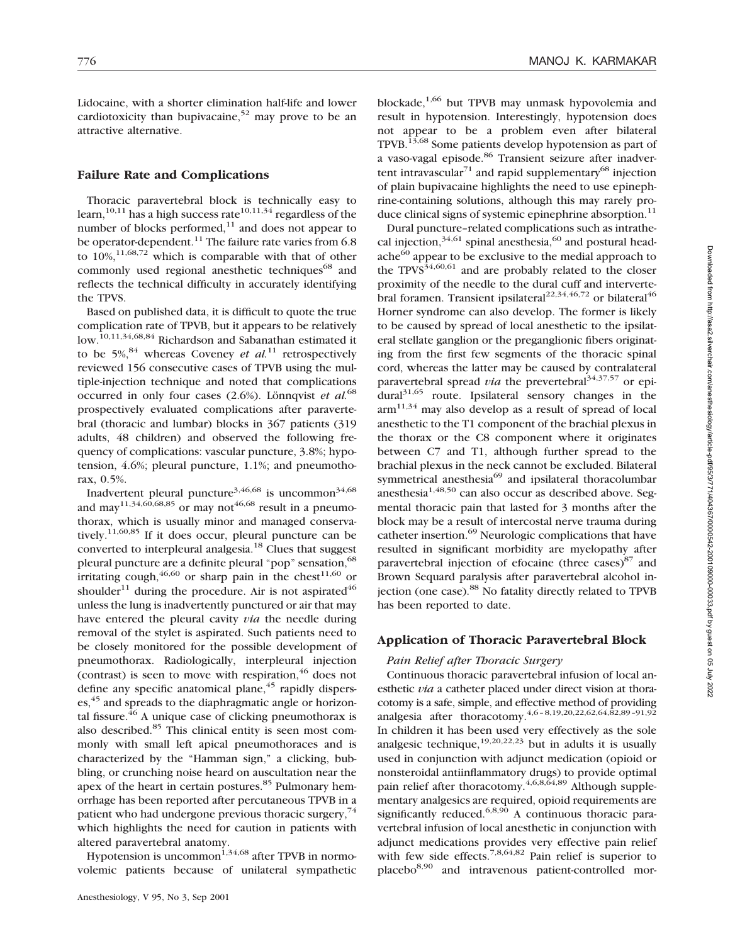Lidocaine, with a shorter elimination half-life and lower cardiotoxicity than bupivacaine,<sup>52</sup> may prove to be an attractive alternative.

# **Failure Rate and Complications**

Thoracic paravertebral block is technically easy to learn,<sup>10,11</sup> has a high success rate<sup>10,11,34</sup> regardless of the number of blocks performed, $11$  and does not appear to be operator-dependent.<sup>11</sup> The failure rate varies from  $6.8$ to  $10\%$ ,<sup>11,68,72</sup> which is comparable with that of other commonly used regional anesthetic techniques<sup>68</sup> and reflects the technical difficulty in accurately identifying the TPVS.

Based on published data, it is difficult to quote the true complication rate of TPVB, but it appears to be relatively low.10,11,34,68,84 Richardson and Sabanathan estimated it to be  $5\%$ ,<sup>84</sup> whereas Coveney *et al.*<sup>11</sup> retrospectively reviewed 156 consecutive cases of TPVB using the multiple-injection technique and noted that complications occurred in only four cases (2.6%). Lönnqvist *et al.*<sup>68</sup> prospectively evaluated complications after paravertebral (thoracic and lumbar) blocks in 367 patients (319 adults, 48 children) and observed the following frequency of complications: vascular puncture, 3.8%; hypotension, 4.6%; pleural puncture, 1.1%; and pneumothorax, 0.5%.

Inadvertent pleural puncture<sup>3,46,68</sup> is uncommon<sup>34,68</sup> and may<sup>11,34,60,68,85</sup> or may not<sup>46,68</sup> result in a pneumothorax, which is usually minor and managed conservatively.<sup>11,60,85</sup> If it does occur, pleural puncture can be converted to interpleural analgesia.<sup>18</sup> Clues that suggest pleural puncture are a definite pleural "pop" sensation, <sup>68</sup> irritating cough,  $46,60$  or sharp pain in the chest  $11,60$  or shoulder<sup>11</sup> during the procedure. Air is not aspirated<sup>46</sup> unless the lung is inadvertently punctured or air that may have entered the pleural cavity *via* the needle during removal of the stylet is aspirated. Such patients need to be closely monitored for the possible development of pneumothorax. Radiologically, interpleural injection (contrast) is seen to move with respiration,  $46$  does not define any specific anatomical plane,<sup>45</sup> rapidly disperses,<sup>45</sup> and spreads to the diaphragmatic angle or horizontal fissure. $^{46}$  A unique case of clicking pneumothorax is also described.<sup>85</sup> This clinical entity is seen most commonly with small left apical pneumothoraces and is characterized by the "Hamman sign," a clicking, bubbling, or crunching noise heard on auscultation near the apex of the heart in certain postures.<sup>85</sup> Pulmonary hemorrhage has been reported after percutaneous TPVB in a patient who had undergone previous thoracic surgery,  $74$ which highlights the need for caution in patients with altered paravertebral anatomy.

Hypotension is uncommon $^{1,34,68}$  after TPVB in normovolemic patients because of unilateral sympathetic blockade, $1,66$  but TPVB may unmask hypovolemia and result in hypotension. Interestingly, hypotension does not appear to be a problem even after bilateral TPVB.13,68 Some patients develop hypotension as part of a vaso-vagal episode.<sup>86</sup> Transient seizure after inadvertent intravascular<sup>71</sup> and rapid supplementary<sup>68</sup> injection of plain bupivacaine highlights the need to use epinephrine-containing solutions, although this may rarely produce clinical signs of systemic epinephrine absorption.<sup>11</sup>

Dural puncture–related complications such as intrathecal injection,  $34,61$  spinal anesthesia,  $60$  and postural headache $^{60}$  appear to be exclusive to the medial approach to the  $TPVS^{34,60,61}$  and are probably related to the closer proximity of the needle to the dural cuff and intervertebral foramen. Transient ipsilateral<sup>22,34,46,72</sup> or bilateral<sup>46</sup> Horner syndrome can also develop. The former is likely to be caused by spread of local anesthetic to the ipsilateral stellate ganglion or the preganglionic fibers originating from the first few segments of the thoracic spinal cord, whereas the latter may be caused by contralateral paravertebral spread *via* the prevertebral<sup>34,37,57</sup> or epi $dural<sup>31,65</sup>$  route. Ipsilateral sensory changes in the  $arm<sup>11,34</sup>$  may also develop as a result of spread of local anesthetic to the T1 component of the brachial plexus in the thorax or the C8 component where it originates between C7 and T1, although further spread to the brachial plexus in the neck cannot be excluded. Bilateral symmetrical anesthesia<sup>69</sup> and ipsilateral thoracolumbar anesthesia $1,48,50$  can also occur as described above. Segmental thoracic pain that lasted for 3 months after the block may be a result of intercostal nerve trauma during catheter insertion.<sup>69</sup> Neurologic complications that have resulted in significant morbidity are myelopathy after paravertebral injection of efocaine (three cases) $87$  and Brown Sequard paralysis after paravertebral alcohol injection (one case).<sup>88</sup> No fatality directly related to TPVB has been reported to date.

#### **Application of Thoracic Paravertebral Block**

#### *Pain Relief after Thoracic Surgery*

Continuous thoracic paravertebral infusion of local anesthetic *via* a catheter placed under direct vision at thoracotomy is a safe, simple, and effective method of providing analgesia after thoracotomy.<sup>4,6</sup>-8,19,20,22,62,64,82,89-91,92 In children it has been used very effectively as the sole analgesic technique,<sup>19,20,22,23</sup> but in adults it is usually used in conjunction with adjunct medication (opioid or nonsteroidal antiinflammatory drugs) to provide optimal pain relief after thoracotomy.<sup>4,6,8,64,89</sup> Although supplementary analgesics are required, opioid requirements are significantly reduced.<sup>6,8,90</sup> A continuous thoracic paravertebral infusion of local anesthetic in conjunction with adjunct medications provides very effective pain relief with few side effects.<sup>7,8,64,82</sup> Pain relief is superior to placebo8,90 and intravenous patient-controlled mor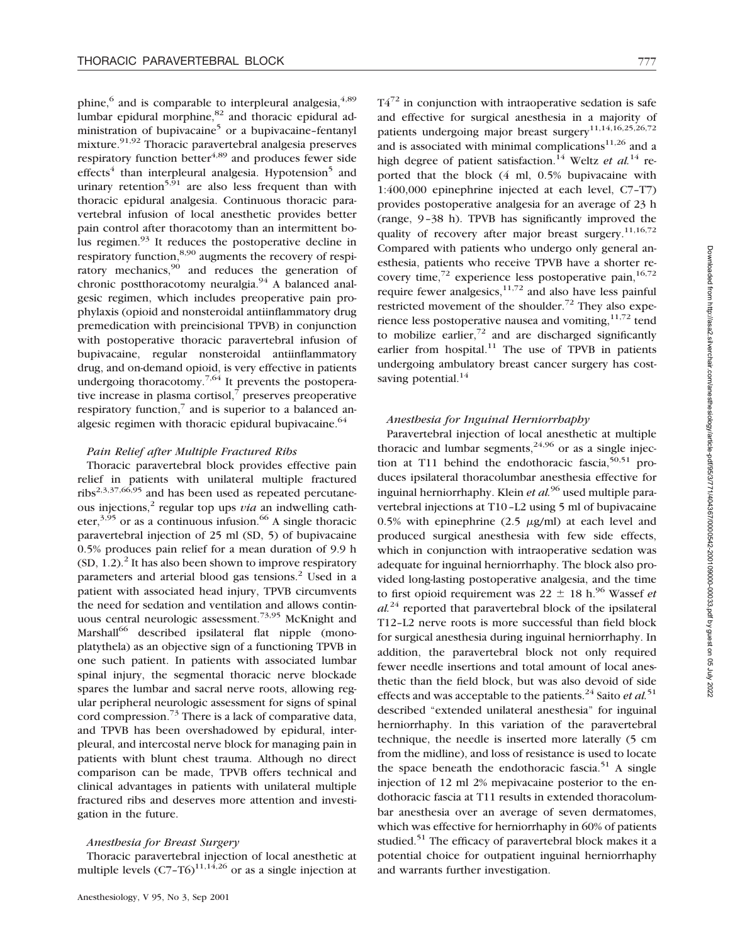phine,<sup>6</sup> and is comparable to interpleural analgesia,<sup>4,89</sup> lumbar epidural morphine, $82$  and thoracic epidural administration of bupivacaine $5$  or a bupivacaine-fentanyl mixture.<sup>91,92</sup> Thoracic paravertebral analgesia preserves respiratory function better $4,89$  and produces fewer side  $effects<sup>4</sup>$  than interpleural analgesia. Hypotension<sup>5</sup> and urinary retention<sup>5,91</sup> are also less frequent than with thoracic epidural analgesia. Continuous thoracic paravertebral infusion of local anesthetic provides better pain control after thoracotomy than an intermittent bolus regimen.93 It reduces the postoperative decline in respiratory function,<sup>8,90</sup> augments the recovery of respiratory mechanics,<sup>90</sup> and reduces the generation of chronic postthoracotomy neuralgia.<sup>94</sup> A balanced analgesic regimen, which includes preoperative pain prophylaxis (opioid and nonsteroidal antiinflammatory drug premedication with preincisional TPVB) in conjunction with postoperative thoracic paravertebral infusion of bupivacaine, regular nonsteroidal antiinflammatory drug, and on-demand opioid, is very effective in patients undergoing thoracotomy.<sup>7,64</sup> It prevents the postoperative increase in plasma cortisol, $\bar{7}$  preserves preoperative respiratory function, $\frac{7}{7}$  and is superior to a balanced analgesic regimen with thoracic epidural bupivacaine. $64$ 

#### *Pain Relief after Multiple Fractured Ribs*

Thoracic paravertebral block provides effective pain relief in patients with unilateral multiple fractured ribs<sup>2,3,37,66,95</sup> and has been used as repeated percutaneous injections,2 regular top ups *via* an indwelling catheter,  $3,95$  or as a continuous infusion. <sup>66</sup> A single thoracic paravertebral injection of 25 ml (SD, 5) of bupivacaine 0.5% produces pain relief for a mean duration of 9.9 h  $(SD, 1.2)$ <sup>2</sup> It has also been shown to improve respiratory parameters and arterial blood gas tensions.<sup>2</sup> Used in a patient with associated head injury, TPVB circumvents the need for sedation and ventilation and allows continuous central neurologic assessment.<sup>73,95</sup> McKnight and Marshall<sup>66</sup> described ipsilateral flat nipple (monoplatythela) as an objective sign of a functioning TPVB in one such patient. In patients with associated lumbar spinal injury, the segmental thoracic nerve blockade spares the lumbar and sacral nerve roots, allowing regular peripheral neurologic assessment for signs of spinal cord compression.73 There is a lack of comparative data, and TPVB has been overshadowed by epidural, interpleural, and intercostal nerve block for managing pain in patients with blunt chest trauma. Although no direct comparison can be made, TPVB offers technical and clinical advantages in patients with unilateral multiple fractured ribs and deserves more attention and investigation in the future.

#### *Anesthesia for Breast Surgery*

Thoracic paravertebral injection of local anesthetic at multiple levels  $(C7-T6)^{11,14,26}$  or as a single injection at  $T4^{72}$  in conjunction with intraoperative sedation is safe and effective for surgical anesthesia in a majority of patients undergoing major breast surgery<sup>11,14,16,25,26,72</sup> and is associated with minimal complications $11,26$  and a high degree of patient satisfaction.<sup>14</sup> Weltz *et al.*<sup>14</sup> reported that the block (4 ml, 0.5% bupivacaine with 1:400,000 epinephrine injected at each level, C7–T7) provides postoperative analgesia for an average of 23 h (range, 9–38 h). TPVB has significantly improved the quality of recovery after major breast surgery.<sup>11,16,72</sup> Compared with patients who undergo only general anesthesia, patients who receive TPVB have a shorter recovery time,<sup>72</sup> experience less postoperative pain,<sup>16,72</sup> require fewer analgesics, $11,72$  and also have less painful restricted movement of the shoulder.<sup>72</sup> They also experience less postoperative nausea and vomiting, $11,72$  tend to mobilize earlier, $72$  and are discharged significantly earlier from hospital. $11$  The use of TPVB in patients undergoing ambulatory breast cancer surgery has costsaving potential. $14$ 

# *Anesthesia for Inguinal Herniorrhaphy*

Paravertebral injection of local anesthetic at multiple thoracic and lumbar segments,  $24,96$  or as a single injection at T11 behind the endothoracic fascia, $50,51$  produces ipsilateral thoracolumbar anesthesia effective for inguinal herniorrhaphy. Klein *et al.*<sup>96</sup> used multiple paravertebral injections at T10–L2 using 5 ml of bupivacaine 0.5% with epinephrine  $(2.5 \mu g/ml)$  at each level and produced surgical anesthesia with few side effects, which in conjunction with intraoperative sedation was adequate for inguinal herniorrhaphy. The block also provided long-lasting postoperative analgesia, and the time to first opioid requirement was  $22 \pm 18$  h.<sup>96</sup> Wassef *et al.*<sup>24</sup> reported that paravertebral block of the ipsilateral T12–L2 nerve roots is more successful than field block for surgical anesthesia during inguinal herniorrhaphy. In addition, the paravertebral block not only required fewer needle insertions and total amount of local anesthetic than the field block, but was also devoid of side effects and was acceptable to the patients.<sup>24</sup> Saito *et al.*<sup>51</sup> described "extended unilateral anesthesia" for inguinal herniorrhaphy. In this variation of the paravertebral technique, the needle is inserted more laterally (5 cm from the midline), and loss of resistance is used to locate the space beneath the endothoracic fascia.<sup>51</sup> A single injection of 12 ml 2% mepivacaine posterior to the endothoracic fascia at T11 results in extended thoracolumbar anesthesia over an average of seven dermatomes, which was effective for herniorrhaphy in 60% of patients studied.<sup>51</sup> The efficacy of paravertebral block makes it a potential choice for outpatient inguinal herniorrhaphy and warrants further investigation.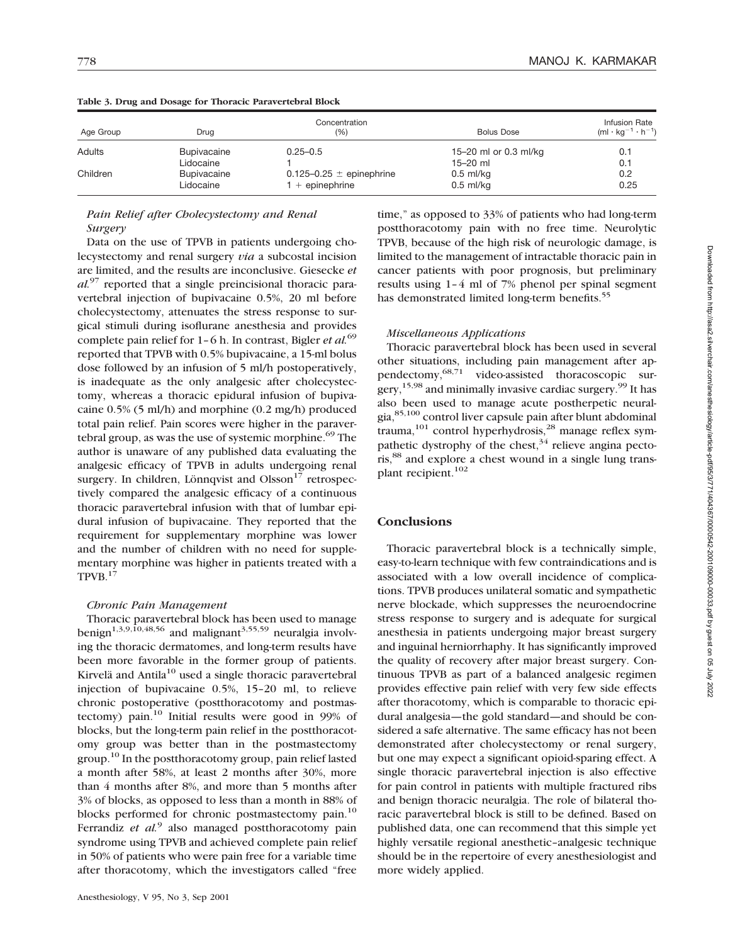| Age Group | Concentration<br>(%)<br>Drua |                              | <b>Bolus Dose</b>     | Infusion Rate<br>$(ml \cdot kg^{-1} \cdot h^{-1})$ |
|-----------|------------------------------|------------------------------|-----------------------|----------------------------------------------------|
| Adults    | <b>Bupivacaine</b>           | $0.25 - 0.5$                 | 15-20 ml or 0.3 ml/kg | 0.1                                                |
|           | Lidocaine                    |                              | $15 - 20$ ml          | 0.1                                                |
| Children  | Bupivacaine                  | 0.125-0.25 $\pm$ epinephrine | $0.5$ ml/kg           | 0.2                                                |
|           | Lidocaine                    | $+$ epinephrine              | $0.5$ ml/kg           | 0.25                                               |

#### **Table 3. Drug and Dosage for Thoracic Paravertebral Block**

# *Pain Relief after Cholecystectomy and Renal Surgery*

Data on the use of TPVB in patients undergoing cholecystectomy and renal surgery *via* a subcostal incision are limited, and the results are inconclusive. Giesecke *et al.*<sup>97</sup> reported that a single preincisional thoracic paravertebral injection of bupivacaine 0.5%, 20 ml before cholecystectomy, attenuates the stress response to surgical stimuli during isoflurane anesthesia and provides complete pain relief for 1–6 h. In contrast, Bigler *et al.*<sup>69</sup> reported that TPVB with 0.5% bupivacaine, a 15-ml bolus dose followed by an infusion of 5 ml/h postoperatively, is inadequate as the only analgesic after cholecystectomy, whereas a thoracic epidural infusion of bupivacaine 0.5% (5 ml/h) and morphine (0.2 mg/h) produced total pain relief. Pain scores were higher in the paravertebral group, as was the use of systemic morphine.<sup>69</sup> The author is unaware of any published data evaluating the analgesic efficacy of TPVB in adults undergoing renal surgery. In children, Lönnqvist and Olsson $17$  retrospectively compared the analgesic efficacy of a continuous thoracic paravertebral infusion with that of lumbar epidural infusion of bupivacaine. They reported that the requirement for supplementary morphine was lower and the number of children with no need for supplementary morphine was higher in patients treated with a TPVB.17

#### *Chronic Pain Management*

Thoracic paravertebral block has been used to manage benign<sup>1,3,9,10,48,56</sup> and malignant<sup>3,55,59</sup> neuralgia involving the thoracic dermatomes, and long-term results have been more favorable in the former group of patients. Kirvelä and Antila $10$  used a single thoracic paravertebral injection of bupivacaine 0.5%, 15–20 ml, to relieve chronic postoperative (postthoracotomy and postmastectomy) pain.10 Initial results were good in 99% of blocks, but the long-term pain relief in the postthoracotomy group was better than in the postmastectomy group.10 In the postthoracotomy group, pain relief lasted a month after 58%, at least 2 months after 30%, more than 4 months after 8%, and more than 5 months after 3% of blocks, as opposed to less than a month in 88% of blocks performed for chronic postmastectomy pain.<sup>10</sup> Ferrandiz *et al.*<sup>9</sup> also managed postthoracotomy pain syndrome using TPVB and achieved complete pain relief in 50% of patients who were pain free for a variable time after thoracotomy, which the investigators called "free time," as opposed to 33% of patients who had long-term postthoracotomy pain with no free time. Neurolytic TPVB, because of the high risk of neurologic damage, is limited to the management of intractable thoracic pain in cancer patients with poor prognosis, but preliminary results using 1–4 ml of 7% phenol per spinal segment has demonstrated limited long-term benefits.<sup>55</sup>

#### *Miscellaneous Applications*

Thoracic paravertebral block has been used in several other situations, including pain management after appendectomy,<sup>68,71</sup> video-assisted thoracoscopic surgery,  $15,98$  and minimally invasive cardiac surgery.<sup>99</sup> It has also been used to manage acute postherpetic neuralgia,85,100 control liver capsule pain after blunt abdominal trauma,  $101$  control hyperhydrosis,  $28$  manage reflex sympathetic dystrophy of the chest,  $34$  relieve angina pectoris,<sup>88</sup> and explore a chest wound in a single lung transplant recipient.<sup>102</sup>

### **Conclusions**

Thoracic paravertebral block is a technically simple, easy-to-learn technique with few contraindications and is associated with a low overall incidence of complications. TPVB produces unilateral somatic and sympathetic nerve blockade, which suppresses the neuroendocrine stress response to surgery and is adequate for surgical anesthesia in patients undergoing major breast surgery and inguinal herniorrhaphy. It has significantly improved the quality of recovery after major breast surgery. Continuous TPVB as part of a balanced analgesic regimen provides effective pain relief with very few side effects after thoracotomy, which is comparable to thoracic epidural analgesia—the gold standard—and should be considered a safe alternative. The same efficacy has not been demonstrated after cholecystectomy or renal surgery, but one may expect a significant opioid-sparing effect. A single thoracic paravertebral injection is also effective for pain control in patients with multiple fractured ribs and benign thoracic neuralgia. The role of bilateral thoracic paravertebral block is still to be defined. Based on published data, one can recommend that this simple yet highly versatile regional anesthetic–analgesic technique should be in the repertoire of every anesthesiologist and more widely applied.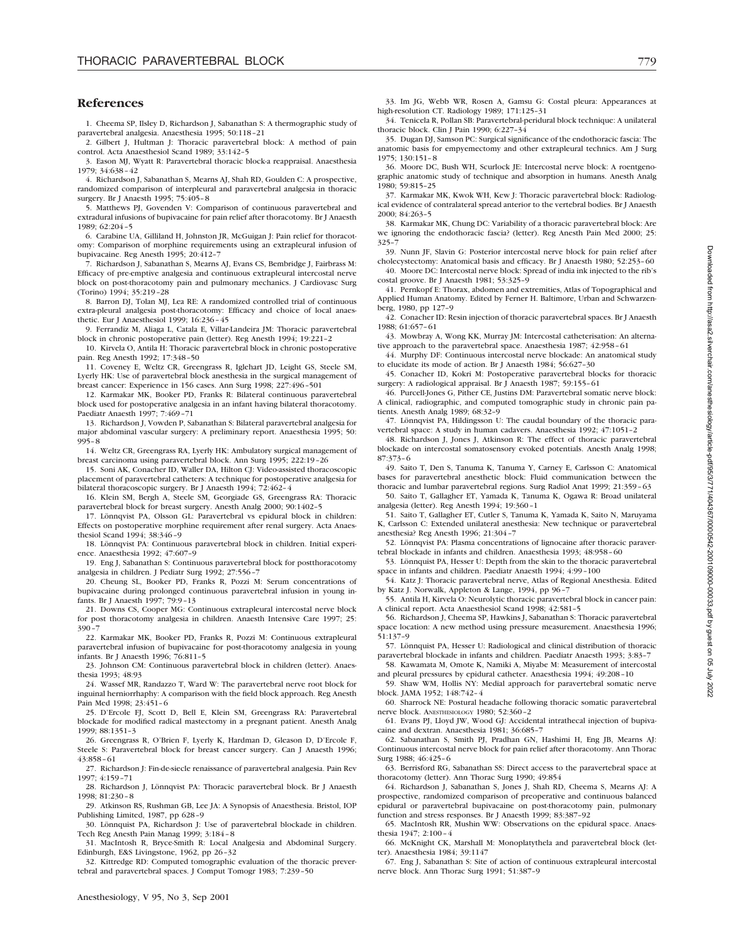#### **References**

1. Cheema SP, Ilsley D, Richardson J, Sabanathan S: A thermographic study of paravertebral analgesia. Anaesthesia 1995; 50:118–21

2. Gilbert J, Hultman J: Thoracic paravertebral block: A method of pain control. Acta Anaesthesiol Scand 1989; 33:142–5

3. Eason MJ, Wyatt R: Paravertebral thoracic block-a reappraisal. Anaesthesia 1979; 34:638–42

4. Richardson J, Sabanathan S, Mearns AJ, Shah RD, Goulden C: A prospective, randomized comparison of interpleural and paravertebral analgesia in thoracic surgery. Br J Anaesth 1995; 75:405–8

5. Matthews PJ, Govenden V: Comparison of continuous paravertebral and extradural infusions of bupivacaine for pain relief after thoracotomy. Br J Anaesth 1989; 62:204–5

6. Carabine UA, Gilliland H, Johnston JR, McGuigan J: Pain relief for thoracotomy: Comparison of morphine requirements using an extrapleural infusion of bupivacaine. Reg Anesth 1995; 20:412–7

7. Richardson J, Sabanathan S, Mearns AJ, Evans CS, Bembridge J, Fairbrass M: Efficacy of pre-emptive analgesia and continuous extrapleural intercostal nerve block on post-thoracotomy pain and pulmonary mechanics. J Cardiovasc Surg (Torino) 1994; 35:219–28

8. Barron DJ, Tolan MJ, Lea RE: A randomized controlled trial of continuous extra-pleural analgesia post-thoracotomy: Efficacy and choice of local anaesthetic. Eur J Anaesthesiol 1999; 16:236–45

9. Ferrandiz M, Aliaga L, Catala E, Villar-Landeira JM: Thoracic paravertebral block in chronic postoperative pain (letter). Reg Anesth 1994; 19:221–2

10. Kirvela O, Antila H: Thoracic paravertebral block in chronic postoperative pain. Reg Anesth 1992; 17:348–50

11. Coveney E, Weltz CR, Greengrass R, Iglehart JD, Leight GS, Steele SM, Lyerly HK: Use of paravertebral block anesthesia in the surgical management of breast cancer: Experience in 156 cases. Ann Surg 1998; 227:496–501

12. Karmakar MK, Booker PD, Franks R: Bilateral continuous paravertebral block used for postoperative analgesia in an infant having bilateral thoracotomy. Paediatr Anaesth 1997; 7:469–71

13. Richardson J, Vowden P, Sabanathan S: Bilateral paravertebral analgesia for major abdominal vascular surgery: A preliminary report. Anaesthesia 1995; 50: 995–8

14. Weltz CR, Greengrass RA, Lyerly HK: Ambulatory surgical management of breast carcinoma using paravertebral block. Ann Surg 1995; 222:19–26

15. Soni AK, Conacher ID, Waller DA, Hilton CJ: Video-assisted thoracoscopic placement of paravertebral catheters: A technique for postoperative analgesia for bilateral thoracoscopic surgery. Br J Anaesth 1994; 72:462–4

16. Klein SM, Bergh A, Steele SM, Georgiade GS, Greengrass RA: Thoracic paravertebral block for breast surgery. Anesth Analg 2000; 90:1402–5

17. Lönnqvist PA, Olsson GL: Paravertebral vs epidural block in children: Effects on postoperative morphine requirement after renal surgery. Acta Anaesthesiol Scand 1994; 38:346–9

18. Lönnqvist PA: Continuous paravertebral block in children. Initial experience. Anaesthesia 1992; 47:607–9

19. Eng J, Sabanathan S: Continuous paravertebral block for postthoracotomy analgesia in children. J Pediatr Surg 1992; 27:556-

20. Cheung SL, Booker PD, Franks R, Pozzi M: Serum concentrations of bupivacaine during prolonged continuous paravertebral infusion in young infants. Br J Anaesth 1997; 79:9–13

21. Downs CS, Cooper MG: Continuous extrapleural intercostal nerve block for post thoracotomy analgesia in children. Anaesth Intensive Care 1997; 25: 390–7

22. Karmakar MK, Booker PD, Franks R, Pozzi M: Continuous extrapleural paravertebral infusion of bupivacaine for post-thoracotomy analgesia in young infants. Br J Anaesth 1996; 76:811–5

23. Johnson CM: Continuous paravertebral block in children (letter). Anaesthesia 1993; 48:93

24. Wassef MR, Randazzo T, Ward W: The paravertebral nerve root block for inguinal herniorrhaphy: A comparison with the field block approach. Reg Anesth Pain Med 1998; 23:451–6

25. D'Ercole FJ, Scott D, Bell E, Klein SM, Greengrass RA: Paravertebral blockade for modified radical mastectomy in a pregnant patient. Anesth Analg 1999; 88:1351–3

26. Greengrass R, O'Brien F, Lyerly K, Hardman D, Gleason D, D'Ercole F, Steele S: Paravertebral block for breast cancer surgery. Can J Anaesth 1996; 43:858–61

27. Richardson J: Fin-de-siecle renaissance of paravertebral analgesia. Pain Rev 1997; 4:159–71

28. Richardson J, Lönnqvist PA: Thoracic paravertebral block. Br J Anaesth 1998; 81:230–8

29. Atkinson RS, Rushman GB, Lee JA: A Synopsis of Anaesthesia. Bristol, IOP Publishing Limited, 1987, pp 628–9

30. Lönnquist PA, Richardson J: Use of paravertebral blockade in children. Tech Reg Anesth Pain Manag 1999; 3:184–8

31. MacIntosh R, Bryce-Smith R: Local Analgesia and Abdominal Surgery. Edinburgh, E&S Livingstone, 1962, pp 26–32

32. Kittredge RD: Computed tomographic evaluation of the thoracic prevertebral and paravertebral spaces. J Comput Tomogr 1983; 7:239–50

33. Im JG, Webb WR, Rosen A, Gamsu G: Costal pleura: Appearances at high-resolution CT. Radiology 1989; 171:125–31

34. Tenicela R, Pollan SB: Paravertebral-peridural block technique: A unilateral thoracic block. Clin J Pain 1990; 6:227–34

35. Dugan DJ, Samson PC: Surgical significance of the endothoracic fascia: The anatomic basis for empyemectomy and other extrapleural technics. Am J Surg 1975; 130:151–8

36. Moore DC, Bush WH, Scurlock JE: Intercostal nerve block: A roentgenographic anatomic study of technique and absorption in humans. Anesth Analg 1980; 59:815–25

37. Karmakar MK, Kwok WH, Kew J: Thoracic paravertebral block: Radiological evidence of contralateral spread anterior to the vertebral bodies. Br J Anaesth 2000; 84:263–5

38. Karmakar MK, Chung DC: Variability of a thoracic paravertebral block: Are we ignoring the endothoracic fascia? (letter). Reg Anesth Pain Med 2000; 25: 325–7

39. Nunn JF, Slavin G: Posterior intercostal nerve block for pain relief after cholecystectomy: Anatomical basis and efficacy. Br J Anaesth 1980; 52:253–60

40. Moore DC: Intercostal nerve block: Spread of india ink injected to the rib's costal groove. Br J Anaesth 1981; 53:325–9

41. Pernkopf E: Thorax, abdomen and extremities, Atlas of Topographical and Applied Human Anatomy. Edited by Ferner H. Baltimore, Urban and Schwarzenberg, 1980, pp 127–9

42. Conacher ID: Resin injection of thoracic paravertebral spaces. Br J Anaesth 1988; 61:657–61

43. Mowbray A, Wong KK, Murray JM: Intercostal catheterisation: An alternative approach to the paravertebral space. Anaesthesia 1987; 42:958–61

44. Murphy DF: Continuous intercostal nerve blockade: An anatomical study to elucidate its mode of action. Br J Anaesth 1984; 56:627–30

45. Conacher ID, Kokri M: Postoperative paravertebral blocks for thoracic surgery: A radiological appraisal. Br J Anaesth 1987; 59:155–61

46. Purcell-Jones G, Pither CE, Justins DM: Paravertebral somatic nerve block: A clinical, radiographic, and computed tomographic study in chronic pain patients. Anesth Analg 1989; 68:32–9

47. Lönnqvist PA, Hildingsson U: The caudal boundary of the thoracic paravertebral space: A study in human cadavers. Anaesthesia 1992; 47:1051–2

48. Richardson J, Jones J, Atkinson R: The effect of thoracic paravertebral blockade on intercostal somatosensory evoked potentials. Anesth Analg 1998; 87:373–6

49. Saito T, Den S, Tanuma K, Tanuma Y, Carney E, Carlsson C: Anatomical bases for paravertebral anesthetic block: Fluid communication between the thoracic and lumbar paravertebral regions. Surg Radiol Anat 1999; 21:359–63

50. Saito T, Gallagher ET, Yamada K, Tanuma K, Ogawa R: Broad unilateral analgesia (letter). Reg Anesth 1994; 19:360–1

51. Saito T, Gallagher ET, Cutler S, Tanuma K, Yamada K, Saito N, Maruyama K, Carlsson C: Extended unilateral anesthesia: New technique or paravertebral anesthesia? Reg Anesth 1996; 21:304–7

52. Lönnqvist PA: Plasma concentrations of lignocaine after thoracic paravertebral blockade in infants and children. Anaesthesia 1993; 48:958–60

53. Lönnquist PA, Hesser U: Depth from the skin to the thoracic paravertebral space in infants and children. Paediatr Anaesth 1994; 4:99–100

54. Katz J: Thoracic paravertebral nerve, Atlas of Regional Anesthesia. Edited by Katz J. Norwalk, Appleton & Lange, 1994, pp 96–7

55. Antila H, Kirvela O: Neurolytic thoracic paravertebral block in cancer pain: A clinical report. Acta Anaesthesiol Scand 1998; 42:581–5

56. Richardson J, Cheema SP, Hawkins J, Sabanathan S: Thoracic paravertebral space location: A new method using pressure measurement. Anaesthesia 1996; 51:137–9

57. Lönnquist PA, Hesser U: Radiological and clinical distribution of thoracic paravertebral blockade in infants and children. Paediatr Anaesth 1993: 3:83-7

58. Kawamata M, Omote K, Namiki A, Miyabe M: Measurement of intercostal and pleural pressures by epidural catheter. Anaesthesia 1994; 49:208–10

59. Shaw WM, Hollis NY: Medial approach for paravertebral somatic nerve block. JAMA 1952; 148:742–4

60. Sharrock NE: Postural headache following thoracic somatic paravertebral nerve block. ANESTHESIOLOGY 1980; 52:360–2

61. Evans PJ, Lloyd JW, Wood GJ: Accidental intrathecal injection of bupivacaine and dextran. Anaesthesia 1981; 36:685–7

62. Sabanathan S, Smith PJ, Pradhan GN, Hashimi H, Eng JB, Mearns AJ: Continuous intercostal nerve block for pain relief after thoracotomy. Ann Thorac Surg 1988; 46:425–6

63. Berrisford RG, Sabanathan SS: Direct access to the paravertebral space at thoracotomy (letter). Ann Thorac Surg 1990; 49:854

64. Richardson J, Sabanathan S, Jones J, Shah RD, Cheema S, Mearns AJ: A prospective, randomized comparison of preoperative and continuous balanced epidural or paravertebral bupivacaine on post-thoracotomy pain, pulmonary function and stress responses. Br J Anaesth 1999; 83:387–92

65. MacIntosh RR, Mushin WW: Observations on the epidural space. Anaesthesia 1947; 2:100–4

66. McKnight CK, Marshall M: Monoplatythela and paravertebral block (letter). Anaesthesia 1984; 39:1147

67. Eng J, Sabanathan S: Site of action of continuous extrapleural intercostal nerve block. Ann Thorac Surg 1991; 51:387–9